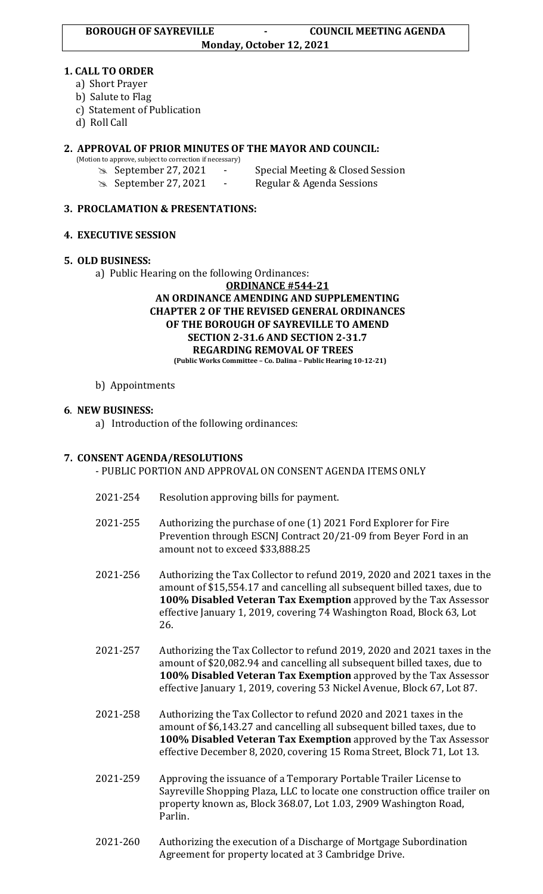## **1. CALL TO ORDER**

- a) Short Prayer
- b) Salute to Flag
- c) Statement of Publication
- d) Roll Call

# **2. APPROVAL OF PRIOR MINUTES OF THE MAYOR AND COUNCIL:**

- (Motion to approve, subject to correction if necessary)
	-
	- September 27, 2021 Special Meeting & Closed Session September 27, 2021 - Regular & Agenda Sessions

## **3. PROCLAMATION & PRESENTATIONS:**

## **4. EXECUTIVE SESSION**

## **5. OLD BUSINESS:**

a) Public Hearing on the following Ordinances:

#### **ORDINANCE #544-21 AN ORDINANCE AMENDING AND SUPPLEMENTING CHAPTER 2 OF THE REVISED GENERAL ORDINANCES OF THE BOROUGH OF SAYREVILLE TO AMEND SECTION 2-31.6 AND SECTION 2-31.7 REGARDING REMOVAL OF TREES (Public Works Committee – Co. Dalina – Public Hearing 10-12-21)**

## b) Appointments

# **6**. **NEW BUSINESS:**

a) Introduction of the following ordinances:

# **7. CONSENT AGENDA/RESOLUTIONS**

- PUBLIC PORTION AND APPROVAL ON CONSENT AGENDA ITEMS ONLY

- 2021-254 Resolution approving bills for payment.
- 2021-255 Authorizing the purchase of one (1) 2021 Ford Explorer for Fire Prevention through ESCNJ Contract 20/21-09 from Beyer Ford in an amount not to exceed \$33,888.25
- 2021-256 Authorizing the Tax Collector to refund 2019, 2020 and 2021 taxes in the amount of \$15,554.17 and cancelling all subsequent billed taxes, due to **100% Disabled Veteran Tax Exemption** approved by the Tax Assessor effective January 1, 2019, covering 74 Washington Road, Block 63, Lot 26.
- 2021-257 Authorizing the Tax Collector to refund 2019, 2020 and 2021 taxes in the amount of \$20,082.94 and cancelling all subsequent billed taxes, due to **100% Disabled Veteran Tax Exemption** approved by the Tax Assessor effective January 1, 2019, covering 53 Nickel Avenue, Block 67, Lot 87.
- 2021-258 Authorizing the Tax Collector to refund 2020 and 2021 taxes in the amount of \$6,143.27 and cancelling all subsequent billed taxes, due to **100% Disabled Veteran Tax Exemption** approved by the Tax Assessor effective December 8, 2020, covering 15 Roma Street, Block 71, Lot 13.
- 2021-259 Approving the issuance of a Temporary Portable Trailer License to Sayreville Shopping Plaza, LLC to locate one construction office trailer on property known as, Block 368.07, Lot 1.03, 2909 Washington Road, Parlin.
- 2021-260 Authorizing the execution of a Discharge of Mortgage Subordination Agreement for property located at 3 Cambridge Drive.